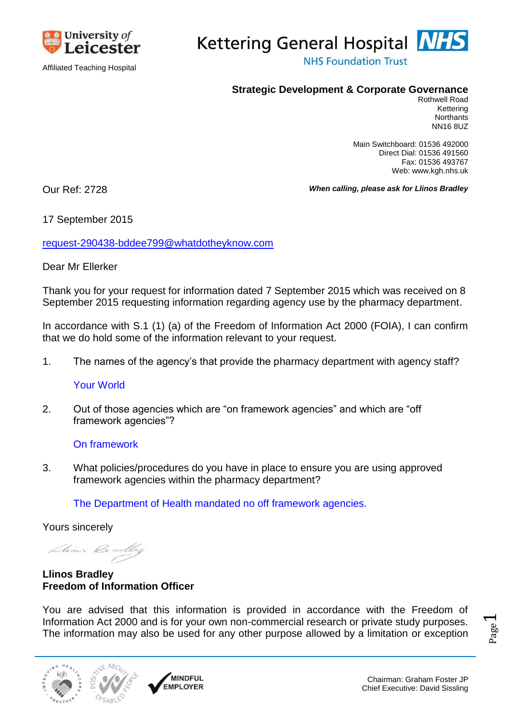

Affiliated Teaching Hospital



**NHS Foundation Trust** 

## **Strategic Development & Corporate Governance**

Rothwell Road Kettering **Northants** NN16 8UZ

Main Switchboard: 01536 492000 Direct Dial: 01536 491560 Fax: 01536 493767 Web: www.kgh.nhs.uk

Our Ref: 2728 *When calling, please ask for Llinos Bradley*

# 17 September 2015

[request-290438-bddee799@whatdotheyknow.com](mailto:xxxxxxxxxxxxxxxxxxxxxxx@xxxxxxxxxxxxxx.xxx)

## Dear Mr Ellerker

Thank you for your request for information dated 7 September 2015 which was received on 8 September 2015 requesting information regarding agency use by the pharmacy department.

In accordance with S.1 (1) (a) of the Freedom of Information Act 2000 (FOIA), I can confirm that we do hold some of the information relevant to your request.

1. The names of the agency's that provide the pharmacy department with agency staff?

### Your World

2. Out of those agencies which are "on framework agencies" and which are "off framework agencies"?

### On framework

3. What policies/procedures do you have in place to ensure you are using approved framework agencies within the pharmacy department?

The Department of Health mandated no off framework agencies.

Yours sincerely

Lhines Bradley

**Llinos Bradley Freedom of Information Officer**

You are advised that this information is provided in accordance with the Freedom of Information Act 2000 and is for your own non-commercial research or private study purposes. The information may also be used for any other purpose allowed by a limitation or exception